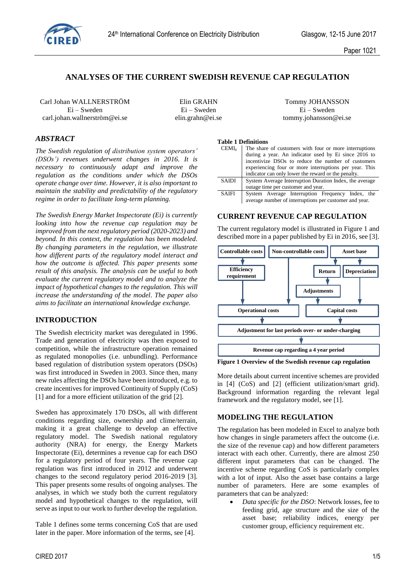

# **ANALYSES OF THE CURRENT SWEDISH REVENUE CAP REGULATION**

Carl Johan WALLNERSTRÖM Elin GRAHN Tommy JOHANSSON Ei – Sweden Ei – Sweden Ei – Sweden carl.johan.wallnerström@ei.se elin.grahn@ei.se tommy.johansson@ei.se

# *ABSTRACT*

*The Swedish regulation of distribution system operators' (DSOs') revenues underwent changes in 2016. It is necessary to continuously adapt and improve the regulation as the conditions under which the DSOs operate change over time. However, it is also important to maintain the stability and predictability of the regulatory regime in order to facilitate long-term planning.* 

*The Swedish Energy Market Inspectorate (Ei) is currently looking into how the revenue cap regulation may be improved from the next regulatory period (2020-2023) and beyond. In this context, the regulation has been modeled. By changing parameters in the regulation, we illustrate how different parts of the regulatory model interact and how the outcome is affected. This paper presents some result of this analysis. The analysis can be useful to both evaluate the current regulatory model and to analyze the impact of hypothetical changes to the regulation. This will increase the understanding of the model. The paper also aims to facilitate an international knowledge exchange.* 

## **INTRODUCTION**

The Swedish electricity market was deregulated in 1996. Trade and generation of electricity was then exposed to competition, while the infrastructure operation remained as regulated monopolies (i.e. unbundling). Performance based regulation of distribution system operators (DSOs) was first introduced in Sweden in 2003. Since then, many new rules affecting the DSOs have been introduced, e.g. to create incentives for improved Continuity of Supply (CoS) [\[1\]](#page-4-0) and for a more efficient utilization of the grid [\[2\].](#page-4-1)

Sweden has approximately 170 DSOs, all with different conditions regarding size, ownership and clime/terrain, making it a great challenge to develop an effective regulatory model. The Swedish national regulatory authority (NRA) for energy, the Energy Markets Inspectorate (Ei), determines a revenue cap for each DSO for a regulatory period of four years. The revenue cap regulation was first introduced in 2012 and underwent changes to the second regulatory period 2016-2019 [\[3\].](#page-4-2) This paper presents some results of ongoing analyses. The analyses, in which we study both the current regulatory model and hypothetical changes to the regulation, will serve as input to our work to further develop the regulation.

[Table 1](#page-0-0) defines some terms concerning CoS that are used later in the paper. More information of the terms, see [\[4\].](#page-4-3)

<span id="page-0-0"></span>**Table 1 Definitions**

| <b>CEMI4</b> | The share of customers with four or more interruptions  |  |  |  |
|--------------|---------------------------------------------------------|--|--|--|
|              | during a year. An indicator used by Ei since 2016 to    |  |  |  |
|              | incentivize DSOs to reduce the number of customers      |  |  |  |
|              | experiencing four or more interruptions per year. This  |  |  |  |
|              | indicator can only lower the reward or the penalty.     |  |  |  |
| SAIDI        | System Average Interruption Duration Index, the average |  |  |  |
|              | outage time per customer and year.                      |  |  |  |
| SAIFI        | System Average Interruption Frequency Index, the        |  |  |  |
|              | average number of interruptions per customer and year.  |  |  |  |

### **CURRENT REVENUE CAP REGULATION**

The current regulatory model is illustrated i[n Figure 1](#page-0-1) and described more in a paper published by Ei in 2016, see [\[3\].](#page-4-2)



<span id="page-0-1"></span>**Figure 1 Overview of the Swedish revenue cap regulation**

More details about current incentive schemes are provided in [\[4\]](#page-4-3) (CoS) and [\[2\]](#page-4-1) (efficient utilization/smart grid). Background information regarding the relevant legal framework and the regulatory model, see [\[1\].](#page-4-0) 

## **MODELING THE REGULATION**

The regulation has been modeled in Excel to analyze both how changes in single parameters affect the outcome (i.e. the size of the revenue cap) and how different parameters interact with each other. Currently, there are almost 250 different input parameters that can be changed. The incentive scheme regarding CoS is particularly complex with a lot of input. Also the asset base contains a large number of parameters. Here are some examples of parameters that can be analyzed:

 *Data specific for the DSO*: Network losses, fee to feeding grid, age structure and the size of the asset base; reliability indices, energy per customer group, efficiency requirement etc.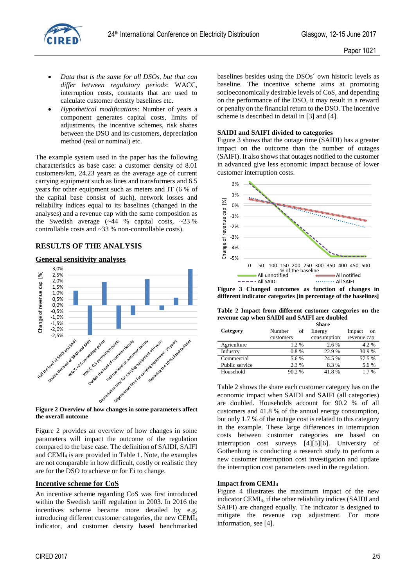

- *Data that is the same for all DSOs, but that can differ between regulatory periods*: WACC, interruption costs, constants that are used to calculate customer density baselines etc.
- *Hypothetical modifications*: Number of years a component generates capital costs, limits of adjustments, the incentive schemes, risk shares between the DSO and its customers, depreciation method (real or nominal) etc.

The example system used in the paper has the following characteristics as base case: a customer density of 8.01 customers/km, 24.23 years as the average age of current carrying equipment such as lines and transformers and 6.5 years for other equipment such as meters and IT (6 % of the capital base consist of such), network losses and reliability indices equal to its baselines (changed in the analyses) and a revenue cap with the same composition as the Swedish average  $(-44 \%$  capital costs,  $-23\%$ controllable costs and ~33 % non-controllable costs).

## **RESULTS OF THE ANALYSIS**

### **General sensitivity analyses**



**Figure 2 Overview of how changes in some parameters affect the overall outcome**

Figure 2 provides an overview of how changes in some parameters will impact the outcome of the regulation compared to the base case. The definition of SAIDI, SAIFI and CEMI<sup>4</sup> is are provided in [Table 1.](#page-0-0) Note, the examples are not comparable in how difficult, costly or realistic they are for the DSO to achieve or for Ei to change.

### **Incentive scheme for CoS**

An incentive scheme regarding CoS was first introduced within the Swedish tariff regulation in 2003. In 2016 the incentives scheme became more detailed by e.g. introducing different customer categories, the new CEMI<sup>4</sup> indicator, and customer density based benchmarked

baselines besides using the DSOs´ own historic levels as baseline. The incentive scheme aims at promoting socioeconomically desirable levels of CoS, and depending on the performance of the DSO, it may result in a reward or penalty on the financial return to the DSO. The incentive scheme is described in detail in [\[3\]](#page-4-2) an[d \[4\].](#page-4-3)

#### **SAIDI and SAIFI divided to categories**

[Figure 3](#page-1-0) shows that the outage time (SAIDI) has a greater impact on the outcome than the number of outages (SAIFI). It also shows that outages notified to the customer in advanced give less economic impact because of lower customer interruption costs.



<span id="page-1-0"></span>**Figure 3 Changed outcomes as function of changes in different indicator categories [in percentage of the baselines]** 

<span id="page-1-1"></span>**Table 2 Impact from different customer categories on the revenue cap when SAIDI and SAIFI are doubled Share** 

| Category       | Number<br>οf | -------<br>Energy | Impact<br>on |
|----------------|--------------|-------------------|--------------|
|                | customers    | consumption       | revenue cap  |
| Agriculture    | 1.2%         | 2.6 %             | 4.2%         |
| Industry       | $0.8\%$      | 22.9 %            | 30.9%        |
| Commercial     | 5.6 %        | 24.5 %            | 57.5 %       |
| Public service | 2.3 %        | 8.3%              | 5.6 %        |
| Household      | 90.2%        | 41.8%             | $1.7\%$      |

[Table 2](#page-1-1) shows the share each customer category has on the economic impact when SAIDI and SAIFI (all categories) are doubled. Households account for 90.2 % of all customers and 41.8 % of the annual energy consumption, but only 1.7 % of the outage cost is related to this category in the example. These large differences in interruption costs between customer categories are based on interruption cost surveys [\[4\]\[5\]](#page-4-3)[\[6\].](#page-4-4) University of Gothenburg is conducting a research study to perform a new customer interruption cost investigation and update the interruption cost parameters used in the regulation.

#### **Impact from CEMI<sup>4</sup>**

[Figure 4](#page-2-0) illustrates the maximum impact of the new indicator CEMI4, if the other reliability indices (SAIDI and SAIFI) are changed equally. The indicator is designed to mitigate the revenue cap adjustment. For more information, see [\[4\].](#page-4-3)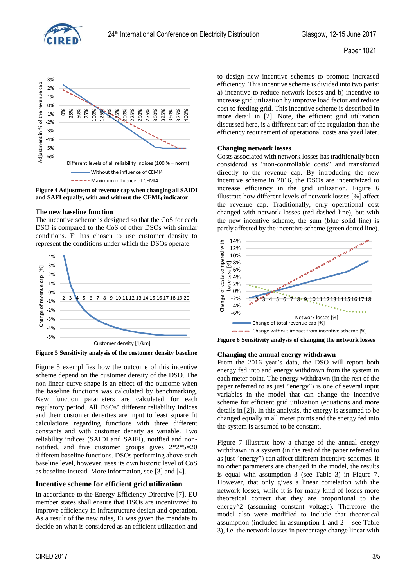



<span id="page-2-0"></span>**Figure 4 Adjustment of revenue cap when changing all SAIDI and SAFI equally, with and without the CEMI<sup>4</sup> indicator**

#### **The new baseline function**

The incentive scheme is designed so that the CoS for each DSO is compared to the CoS of other DSOs with similar conditions. Ei has chosen to use customer density to represent the conditions under which the DSOs operate.



<span id="page-2-1"></span>**Figure 5 Sensitivity analysis of the customer density baseline**

[Figure 5](#page-2-1) exemplifies how the outcome of this incentive scheme depend on the customer density of the DSO. The non-linear curve shape is an effect of the outcome when the baseline functions was calculated by benchmarking. New function parameters are calculated for each regulatory period. All DSOs' different reliability indices and their customer densities are input to least square fit calculations regarding functions with three different constants and with customer density as variable. Two reliability indices (SAIDI and SAIFI), notified and nonnotified, and five customer groups gives 2\*2\*5=20 different baseline functions. DSOs performing above such baseline level, however, uses its own historic level of CoS as baseline instead. More information, see [\[3\]](#page-4-2) and [\[4\].](#page-4-3)

### **Incentive scheme for efficient grid utilization**

In accordance to the Energy Efficiency Directive [\[7\],](#page-4-5) EU member states shall ensure that DSOs are incentivized to improve efficiency in infrastructure design and operation. As a result of the new rules, Ei was given the mandate to decide on what is considered as an efficient utilization and to design new incentive schemes to promote increased efficiency. This incentive scheme is divided into two parts: a) incentive to reduce network losses and b) incentive to increase grid utilization by improve load factor and reduce cost to feeding grid. This incentive scheme is described in more detail in [\[2\].](#page-4-1) Note, the efficient grid utilization discussed here, is a different part of the regulation than the efficiency requirement of operational costs analyzed later.

### **Changing network losses**

Costs associated with network losses has traditionally been considered as "non-controllable costs" and transferred directly to the revenue cap. By introducing the new incentive scheme in 2016, the DSOs are incentivized to increase efficiency in the grid utilization. [Figure 6](#page-2-2) illustrate how different levels of network losses [%] affect the revenue cap. Traditionally, only operational cost changed with network losses (red dashed line), but with the new incentive scheme, the sum (blue solid line) is partly affected by the incentive scheme (green dotted line).



<span id="page-2-2"></span>**Figure 6 Sensitivity analysis of changing the network losses** 

#### **Changing the annual energy withdrawn**

From the 2016 year's data, the DSO will report both energy fed into and energy withdrawn from the system in each meter point. The energy withdrawn (in the rest of the paper referred to as just "energy") is one of several input variables in the model that can change the incentive scheme for efficient grid utilization (equations and more details in [\[2\]\)](#page-4-1). In this analysis, the energy is assumed to be changed equally in all meter points and the energy fed into the system is assumed to be constant.

[Figure 7](#page-3-0) illustrate how a change of the annual energy withdrawn in a system (in the rest of the paper referred to as just "energy") can affect different incentive schemes. If no other parameters are changed in the model, the results is equal with assumption 3 (see [Table 3\)](#page-3-1) in [Figure 7.](#page-3-0) However, that only gives a linear correlation with the network losses, while it is for many kind of losses more theoretical correct that they are proportional to the energy^2 (assuming constant voltage). Therefore the model also were modified to include that theoretical assumption (included in assumption 1 and 2 – see [Table](#page-3-1)  [3\)](#page-3-1), i.e. the network losses in percentage change linear with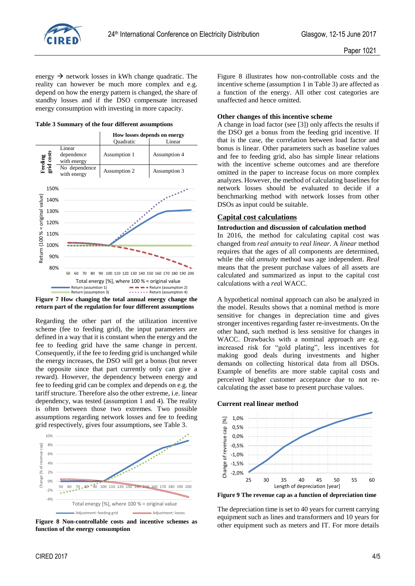

energy  $\rightarrow$  network losses in kWh change quadratic. The reality can however be much more complex and e.g. depend on how the energy pattern is changed, the share of standby losses and if the DSO compensate increased energy consumption with investing in more capacity.

<span id="page-3-1"></span>**Table 3 Summary of the four different assumptions**



<span id="page-3-0"></span>

Regarding the other part of the utilization incentive scheme (fee to feeding grid), the input parameters are defined in a way that it is constant when the energy and the fee to feeding grid have the same change in percent. Consequently, if the fee to feeding grid is unchanged while the energy increases, the DSO will get a bonus (but never the opposite since that part currently only can give a reward). However, the dependency between energy and fee to feeding grid can be complex and depends on e.g. the tariff structure. Therefore also the other extreme, i.e. linear dependency, was tested (assumption 1 and 4). The reality is often between those two extremes. Two possible assumptions regarding network losses and fee to feeding grid respectively, gives four assumptions, see [Table 3.](#page-3-1)



<span id="page-3-2"></span>**Figure 8 Non-controllable costs and incentive schemes as function of the energy consumption**

CIRED 2017 4/5

[Figure 8](#page-3-2) illustrates how non-controllable costs and the incentive scheme (assumption 1 i[n Table 3\)](#page-3-1) are affected as a function of the energy. All other cost categories are unaffected and hence omitted.

#### **Other changes of this incentive scheme**

A change in load factor (see [\[3\]\)](#page-4-2) only affects the results if the DSO get a bonus from the feeding grid incentive. If that is the case, the correlation between load factor and bonus is linear. Other parameters such as baseline values and fee to feeding grid, also has simple linear relations with the incentive scheme outcomes and are therefore omitted in the paper to increase focus on more complex analyzes. However, the method of calculating baselines for network losses should be evaluated to decide if a benchmarking method with network losses from other DSOs as input could be suitable.

## **Capital cost calculations**

#### **Introduction and discussion of calculation method**

In 2016, the method for calculating capital cost was changed from *real annuity* to *real linear*. A *linear* method requires that the ages of all components are determined, while the old *annuity* method was age independent. *Real* means that the present purchase values of all assets are calculated and summarized as input to the capital cost calculations with a *rea*l WACC.

A hypothetical nominal approach can also be analyzed in the model. Results shows that a nominal method is more sensitive for changes in depreciation time and gives stronger incentives regarding faster re-investments. On the other hand, such method is less sensitive for changes in WACC. Drawbacks with a nominal approach are e.g. increased risk for "gold plating", less incentives for making good deals during investments and higher demands on collecting historical data from all DSOs. Example of benefits are more stable capital costs and perceived higher customer acceptance due to not recalculating the asset base to present purchase values.

#### **Current real linear method**



<span id="page-3-3"></span>**Figure 9 The revenue cap as a function of depreciation time**

The depreciation time is set to 40 years for current carrying equipment such as lines and transformers and 10 years for other equipment such as meters and IT. For more details